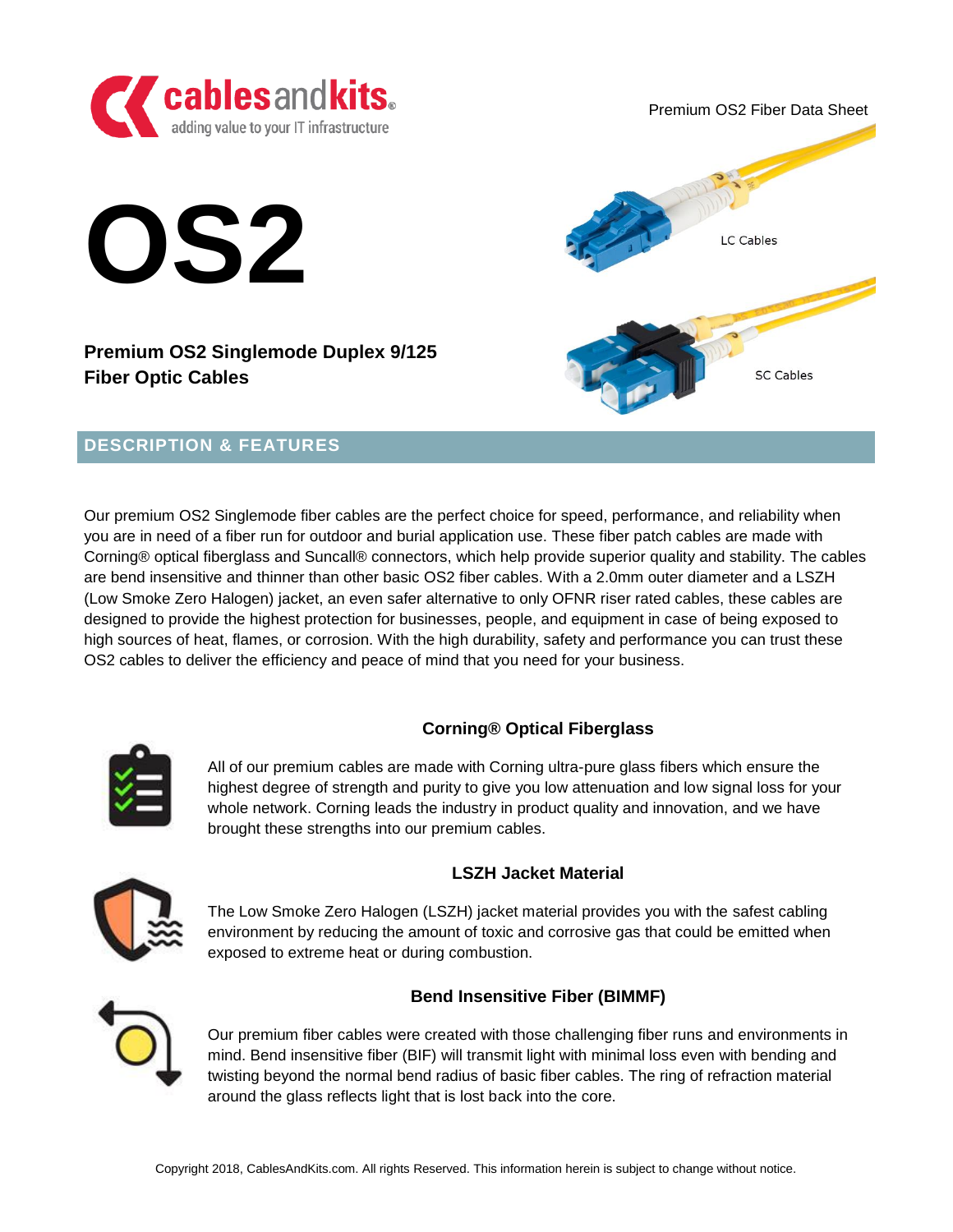

Premium OS2 Fiber Data Sheet



# **Premium OS2 Singlemode Duplex 9/125 Fiber Optic Cables**



## **DESCRIPTION & FEATURES**

Our premium OS2 Singlemode fiber cables are the perfect choice for speed, performance, and reliability when you are in need of a fiber run for outdoor and burial application use. These fiber patch cables are made with Corning® optical fiberglass and Suncall® connectors, which help provide superior quality and stability. The cables are bend insensitive and thinner than other basic OS2 fiber cables. With a 2.0mm outer diameter and a LSZH (Low Smoke Zero Halogen) jacket, an even safer alternative to only OFNR riser rated cables, these cables are designed to provide the highest protection for businesses, people, and equipment in case of being exposed to high sources of heat, flames, or corrosion. With the high durability, safety and performance you can trust these OS2 cables to deliver the efficiency and peace of mind that you need for your business.



## **Corning® Optical Fiberglass**

All of our premium cables are made with Corning ultra-pure glass fibers which ensure the highest degree of strength and purity to give you low attenuation and low signal loss for your whole network. Corning leads the industry in product quality and innovation, and we have brought these strengths into our premium cables.



## **LSZH Jacket Material**

The Low Smoke Zero Halogen (LSZH) jacket material provides you with the safest cabling environment by reducing the amount of toxic and corrosive gas that could be emitted when exposed to extreme heat or during combustion.

Our premium fiber cables were created with those challenging fiber runs and environments in mind. Bend insensitive fiber (BIF) will transmit light with minimal loss even with bending and twisting beyond the normal bend radius of basic fiber cables. The ring of refraction material around the glass reflects light that is lost back into the core.

**Bend Insensitive Fiber (BIMMF)**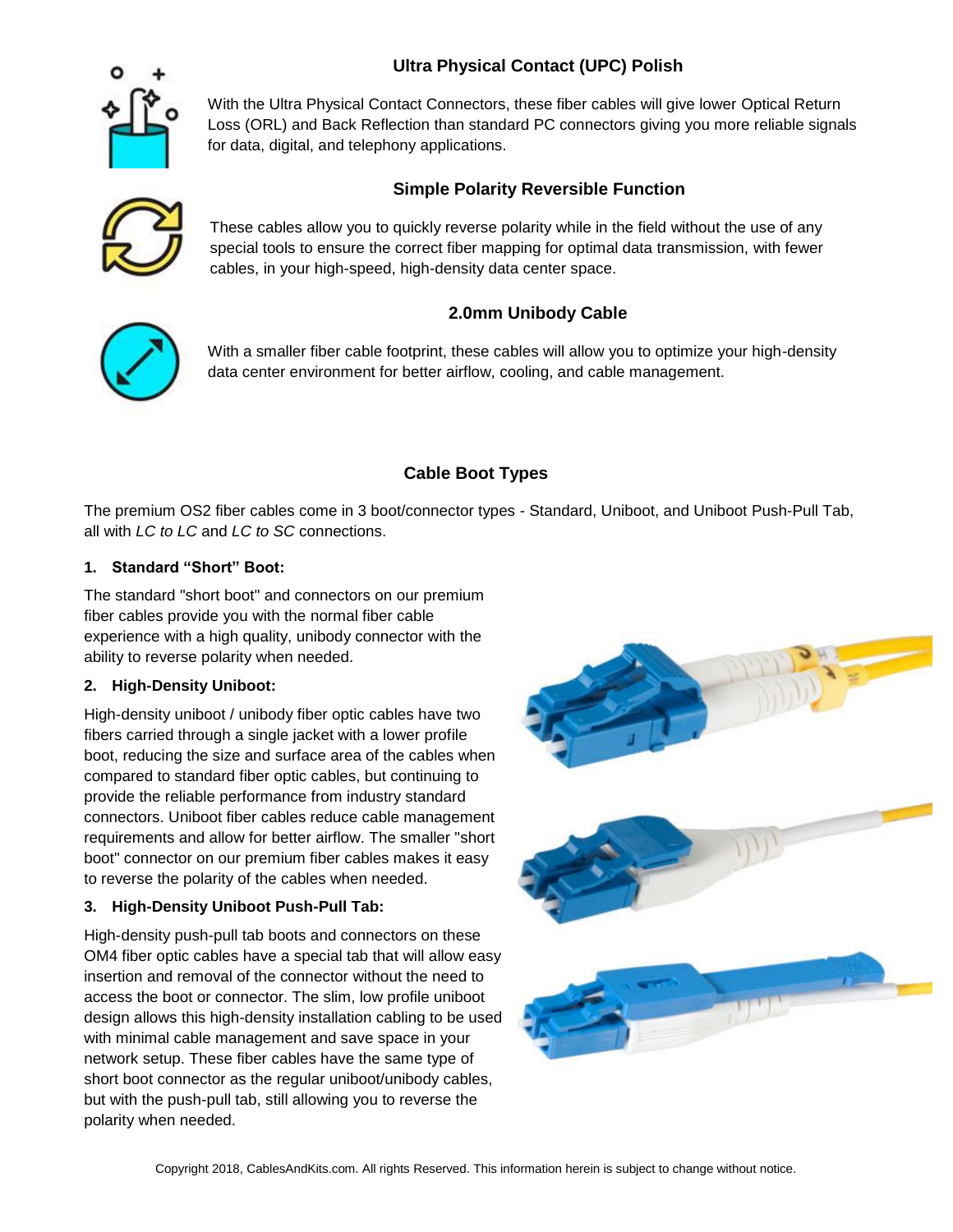# **Ultra Physical Contact (UPC) Polish**



With the Ultra Physical Contact Connectors, these fiber cables will give lower Optical Return Loss (ORL) and Back Reflection than standard PC connectors giving you more reliable signals for data, digital, and telephony applications.

## **Simple Polarity Reversible Function**



These cables allow you to quickly reverse polarity while in the field without the use of any special tools to ensure the correct fiber mapping for optimal data transmission, with fewer cables, in your high-speed, high-density data center space.

## **2.0mm Unibody Cable**



With a smaller fiber cable footprint, these cables will allow you to optimize your high-density data center environment for better airflow, cooling, and cable management.

## **Cable Boot Types**

The premium OS2 fiber cables come in 3 boot/connector types - Standard, Uniboot, and Uniboot Push-Pull Tab, all with *LC to LC* and *LC to SC* connections.

#### **1. Standard "Short" Boot:**

The standard "short boot" and connectors on our premium fiber cables provide you with the normal fiber cable experience with a high quality, unibody connector with the ability to reverse polarity when needed.

#### **2. High-Density Uniboot:**

High-density uniboot / unibody fiber optic cables have two fibers carried through a single jacket with a lower profile boot, reducing the size and surface area of the cables when compared to standard fiber optic cables, but continuing to provide the reliable performance from industry standard connectors. Uniboot fiber cables reduce cable management requirements and allow for better airflow. The smaller "short boot" connector on our premium fiber cables makes it easy to reverse the polarity of the cables when needed.

## **3. High-Density Uniboot Push-Pull Tab:**

High-density push-pull tab boots and connectors on these OM4 fiber optic cables have a special tab that will allow easy insertion and removal of the connector without the need to access the boot or connector. The slim, low profile uniboot design allows this high-density installation cabling to be used with minimal cable management and save space in your network setup. These fiber cables have the same type of short boot connector as the regular uniboot/unibody cables, but with the push-pull tab, still allowing you to reverse the polarity when needed.